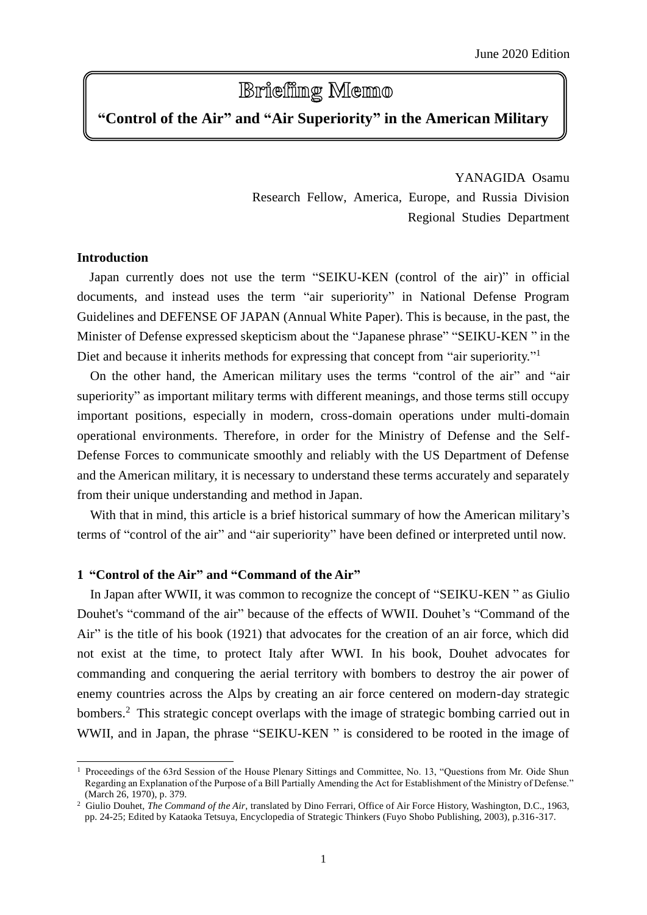# **Briefing Memo**

# **"Control of the Air" and "Air Superiority" in the American Military**

YANAGIDA Osamu Research Fellow, America, Europe, and Russia Division Regional Studies Department

# **Introduction**

 $\overline{a}$ 

Japan currently does not use the term "SEIKU-KEN (control of the air)" in official documents, and instead uses the term "air superiority" in National Defense Program Guidelines and DEFENSE OF JAPAN (Annual White Paper). This is because, in the past, the Minister of Defense expressed skepticism about the "Japanese phrase" "SEIKU-KEN " in the Diet and because it inherits methods for expressing that concept from "air superiority."<sup>1</sup>

On the other hand, the American military uses the terms "control of the air" and "air superiority" as important military terms with different meanings, and those terms still occupy important positions, especially in modern, cross-domain operations under multi-domain operational environments. Therefore, in order for the Ministry of Defense and the Self-Defense Forces to communicate smoothly and reliably with the US Department of Defense and the American military, it is necessary to understand these terms accurately and separately from their unique understanding and method in Japan.

With that in mind, this article is a brief historical summary of how the American military's terms of "control of the air" and "air superiority" have been defined or interpreted until now.

# **1 "Control of the Air" and "Command of the Air"**

In Japan after WWII, it was common to recognize the concept of "SEIKU-KEN " as Giulio Douhet's "command of the air" because of the effects of WWII. Douhet's "Command of the Air" is the title of his book (1921) that advocates for the creation of an air force, which did not exist at the time, to protect Italy after WWI. In his book, Douhet advocates for commanding and conquering the aerial territory with bombers to destroy the air power of enemy countries across the Alps by creating an air force centered on modern-day strategic bombers.<sup>2</sup> This strategic concept overlaps with the image of strategic bombing carried out in WWII, and in Japan, the phrase "SEIKU-KEN" is considered to be rooted in the image of

<sup>&</sup>lt;sup>1</sup> Proceedings of the 63rd Session of the House Plenary Sittings and Committee, No. 13, "Questions from Mr. Oide Shun Regarding an Explanation of the Purpose of a Bill Partially Amending the Act for Establishment of the Ministry of Defense." (March 26, 1970), p. 379.

<sup>2</sup> Giulio Douhet, *The Command of the Air*, translated by Dino Ferrari, Office of Air Force History, Washington, D.C., 1963, pp. 24-25; Edited by Kataoka Tetsuya, Encyclopedia of Strategic Thinkers (Fuyo Shobo Publishing, 2003), p.316-317.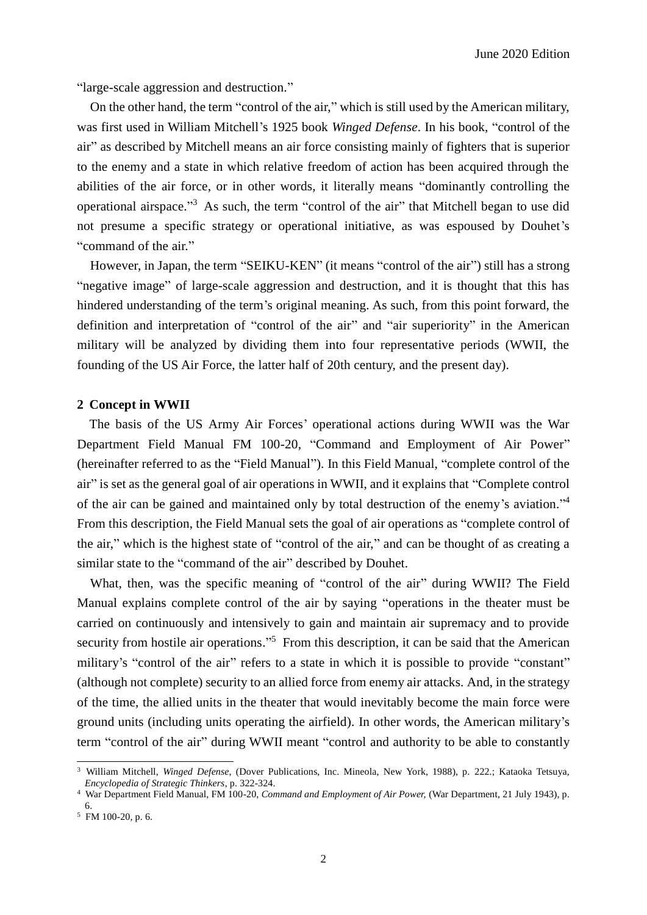"large-scale aggression and destruction."

On the other hand, the term "control of the air," which is still used by the American military, was first used in William Mitchell's 1925 book *Winged Defense*. In his book, "control of the air" as described by Mitchell means an air force consisting mainly of fighters that is superior to the enemy and a state in which relative freedom of action has been acquired through the abilities of the air force, or in other words, it literally means "dominantly controlling the operational airspace." <sup>3</sup> As such, the term "control of the air" that Mitchell began to use did not presume a specific strategy or operational initiative, as was espoused by Douhet's "command of the air."

However, in Japan, the term "SEIKU-KEN" (it means "control of the air") still has a strong "negative image" of large-scale aggression and destruction, and it is thought that this has hindered understanding of the term's original meaning. As such, from this point forward, the definition and interpretation of "control of the air" and "air superiority" in the American military will be analyzed by dividing them into four representative periods (WWII, the founding of the US Air Force, the latter half of 20th century, and the present day).

#### **2 Concept in WWII**

The basis of the US Army Air Forces' operational actions during WWII was the War Department Field Manual FM 100-20, "Command and Employment of Air Power" (hereinafter referred to as the "Field Manual"). In this Field Manual, "complete control of the air" is set as the general goal of air operations in WWII, and it explains that "Complete control of the air can be gained and maintained only by total destruction of the enemy's aviation."<sup>4</sup> From this description, the Field Manual sets the goal of air operations as "complete control of the air," which is the highest state of "control of the air," and can be thought of as creating a similar state to the "command of the air" described by Douhet.

What, then, was the specific meaning of "control of the air" during WWII? The Field Manual explains complete control of the air by saying "operations in the theater must be carried on continuously and intensively to gain and maintain air supremacy and to provide security from hostile air operations."<sup>5</sup> From this description, it can be said that the American military's "control of the air" refers to a state in which it is possible to provide "constant" (although not complete) security to an allied force from enemy air attacks. And, in the strategy of the time, the allied units in the theater that would inevitably become the main force were ground units (including units operating the airfield). In other words, the American military's term "control of the air" during WWII meant "control and authority to be able to constantly

<sup>3</sup> William Mitchell, *Winged Defense*, (Dover Publications, Inc. Mineola, New York, 1988), p. 222.; Kataoka Tetsuya, *Encyclopedia of Strategic Thinkers*, p. 322-324.

<sup>4</sup> War Department Field Manual, FM 100-20, *Command and Employment of Air Power,* (War Department, 21 July 1943), p. 6.

 $5$  FM 100-20, p. 6.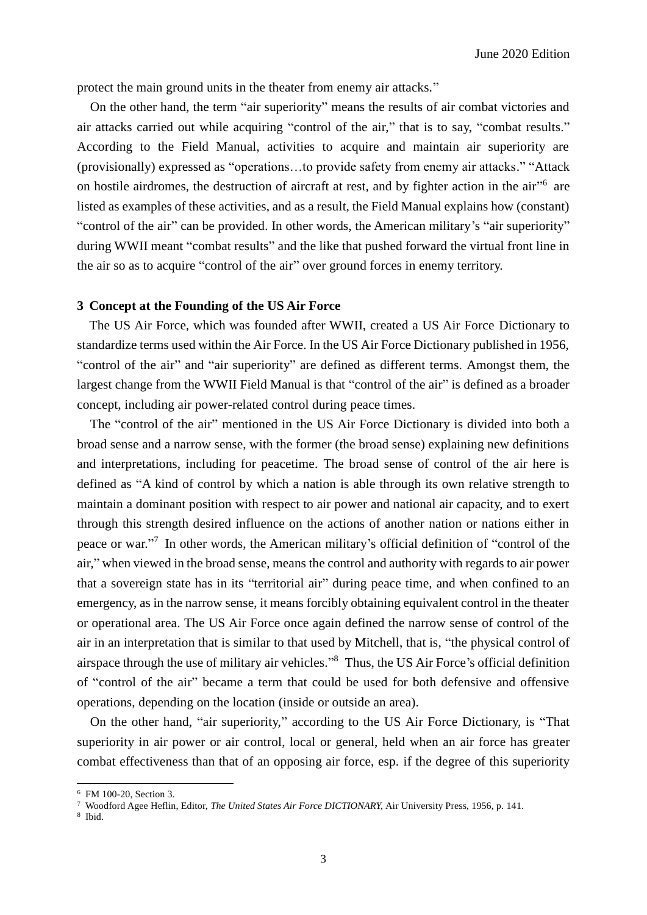protect the main ground units in the theater from enemy air attacks."

On the other hand, the term "air superiority" means the results of air combat victories and air attacks carried out while acquiring "control of the air," that is to say, "combat results." According to the Field Manual, activities to acquire and maintain air superiority are (provisionally) expressed as "operations…to provide safety from enemy air attacks." "Attack on hostile airdromes, the destruction of aircraft at rest, and by fighter action in the air"<sup>6</sup> are listed as examples of these activities, and as a result, the Field Manual explains how (constant) "control of the air" can be provided. In other words, the American military's "air superiority" during WWII meant "combat results" and the like that pushed forward the virtual front line in the air so as to acquire "control of the air" over ground forces in enemy territory.

# **3 Concept at the Founding of the US Air Force**

The US Air Force, which was founded after WWII, created a US Air Force Dictionary to standardize terms used within the Air Force. In the US Air Force Dictionary published in 1956, "control of the air" and "air superiority" are defined as different terms. Amongst them, the largest change from the WWII Field Manual is that "control of the air" is defined as a broader concept, including air power-related control during peace times.

The "control of the air" mentioned in the US Air Force Dictionary is divided into both a broad sense and a narrow sense, with the former (the broad sense) explaining new definitions and interpretations, including for peacetime. The broad sense of control of the air here is defined as "A kind of control by which a nation is able through its own relative strength to maintain a dominant position with respect to air power and national air capacity, and to exert through this strength desired influence on the actions of another nation or nations either in peace or war."<sup>7</sup> In other words, the American military's official definition of "control of the air," when viewed in the broad sense, means the control and authority with regards to air power that a sovereign state has in its "territorial air" during peace time, and when confined to an emergency, as in the narrow sense, it means forcibly obtaining equivalent control in the theater or operational area. The US Air Force once again defined the narrow sense of control of the air in an interpretation that is similar to that used by Mitchell, that is, "the physical control of airspace through the use of military air vehicles." <sup>8</sup> Thus, the US Air Force's official definition of "control of the air" became a term that could be used for both defensive and offensive operations, depending on the location (inside or outside an area).

On the other hand, "air superiority," according to the US Air Force Dictionary, is "That superiority in air power or air control, local or general, held when an air force has greater combat effectiveness than that of an opposing air force, esp. if the degree of this superiority

<sup>6</sup> FM 100-20, Section 3.

<sup>7</sup> Woodford Agee Heflin, Editor, *The United States Air Force DICTIONARY,* Air University Press, 1956, p. 141.

<sup>8</sup> Ibid.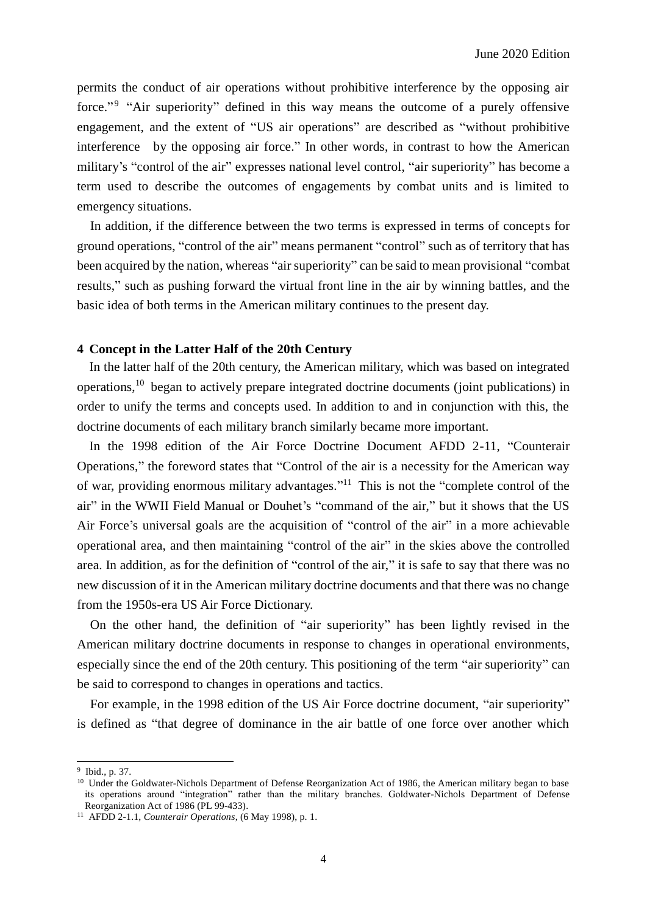permits the conduct of air operations without prohibitive interference by the opposing air force."<sup>9</sup> "Air superiority" defined in this way means the outcome of a purely offensive engagement, and the extent of "US air operations" are described as "without prohibitive interference by the opposing air force." In other words, in contrast to how the American military's "control of the air" expresses national level control, "air superiority" has become a term used to describe the outcomes of engagements by combat units and is limited to emergency situations.

In addition, if the difference between the two terms is expressed in terms of concepts for ground operations, "control of the air" means permanent "control" such as of territory that has been acquired by the nation, whereas "air superiority" can be said to mean provisional "combat results," such as pushing forward the virtual front line in the air by winning battles, and the basic idea of both terms in the American military continues to the present day.

#### **4 Concept in the Latter Half of the 20th Century**

In the latter half of the 20th century, the American military, which was based on integrated operations,<sup>10</sup> began to actively prepare integrated doctrine documents (joint publications) in order to unify the terms and concepts used. In addition to and in conjunction with this, the doctrine documents of each military branch similarly became more important.

In the 1998 edition of the Air Force Doctrine Document AFDD 2-11, "Counterair Operations," the foreword states that "Control of the air is a necessity for the American way of war, providing enormous military advantages."<sup>11</sup> This is not the "complete control of the air" in the WWII Field Manual or Douhet's "command of the air," but it shows that the US Air Force's universal goals are the acquisition of "control of the air" in a more achievable operational area, and then maintaining "control of the air" in the skies above the controlled area. In addition, as for the definition of "control of the air," it is safe to say that there was no new discussion of it in the American military doctrine documents and that there was no change from the 1950s-era US Air Force Dictionary.

On the other hand, the definition of "air superiority" has been lightly revised in the American military doctrine documents in response to changes in operational environments, especially since the end of the 20th century. This positioning of the term "air superiority" can be said to correspond to changes in operations and tactics.

For example, in the 1998 edition of the US Air Force doctrine document, "air superiority" is defined as "that degree of dominance in the air battle of one force over another which

<sup>9</sup> Ibid., p. 37.

<sup>&</sup>lt;sup>10</sup> Under the Goldwater-Nichols Department of Defense Reorganization Act of 1986, the American military began to base its operations around "integration" rather than the military branches. Goldwater-Nichols Department of Defense Reorganization Act of 1986 (PL 99-433).

<sup>11</sup> AFDD 2-1.1, *Counterair Operations*, (6 May 1998), p. 1.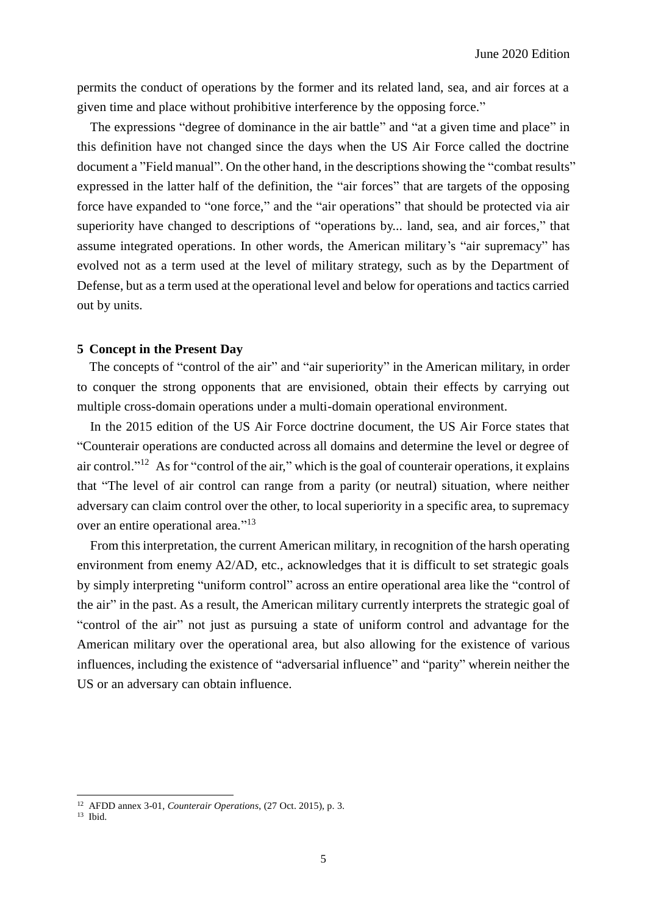permits the conduct of operations by the former and its related land, sea, and air forces at a given time and place without prohibitive interference by the opposing force."

The expressions "degree of dominance in the air battle" and "at a given time and place" in this definition have not changed since the days when the US Air Force called the doctrine document a "Field manual". On the other hand, in the descriptions showing the "combat results" expressed in the latter half of the definition, the "air forces" that are targets of the opposing force have expanded to "one force," and the "air operations" that should be protected via air superiority have changed to descriptions of "operations by... land, sea, and air forces," that assume integrated operations. In other words, the American military's "air supremacy" has evolved not as a term used at the level of military strategy, such as by the Department of Defense, but as a term used at the operational level and below for operations and tactics carried out by units.

# **5 Concept in the Present Day**

The concepts of "control of the air" and "air superiority" in the American military, in order to conquer the strong opponents that are envisioned, obtain their effects by carrying out multiple cross-domain operations under a multi-domain operational environment.

In the 2015 edition of the US Air Force doctrine document, the US Air Force states that "Counterair operations are conducted across all domains and determine the level or degree of air control."<sup>12</sup> As for "control of the air," which is the goal of counterair operations, it explains that "The level of air control can range from a parity (or neutral) situation, where neither adversary can claim control over the other, to local superiority in a specific area, to supremacy over an entire operational area."<sup>13</sup>

From this interpretation, the current American military, in recognition of the harsh operating environment from enemy A2/AD, etc., acknowledges that it is difficult to set strategic goals by simply interpreting "uniform control" across an entire operational area like the "control of the air" in the past. As a result, the American military currently interprets the strategic goal of "control of the air" not just as pursuing a state of uniform control and advantage for the American military over the operational area, but also allowing for the existence of various influences, including the existence of "adversarial influence" and "parity" wherein neither the US or an adversary can obtain influence.

l

<sup>12</sup> AFDD annex 3-01, *Counterair Operations*, (27 Oct. 2015), p. 3.

<sup>13</sup> Ibid.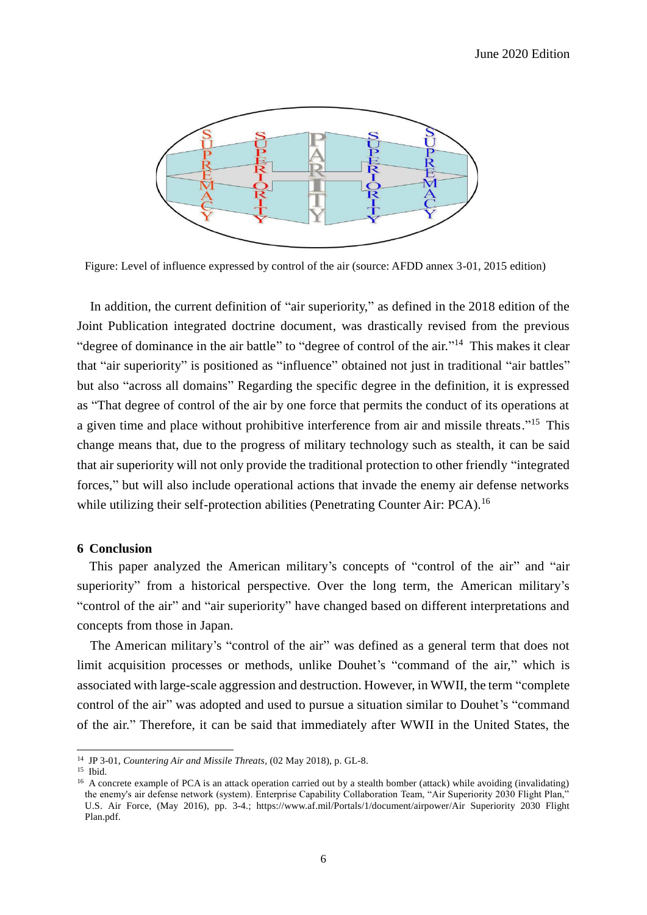

Figure: Level of influence expressed by control of the air (source: AFDD annex 3-01, 2015 edition)

In addition, the current definition of "air superiority," as defined in the 2018 edition of the Joint Publication integrated doctrine document, was drastically revised from the previous "degree of dominance in the air battle" to "degree of control of the air."<sup>14</sup> This makes it clear that "air superiority" is positioned as "influence" obtained not just in traditional "air battles" but also "across all domains" Regarding the specific degree in the definition, it is expressed as "That degree of control of the air by one force that permits the conduct of its operations at a given time and place without prohibitive interference from air and missile threats."<sup>15</sup> This change means that, due to the progress of military technology such as stealth, it can be said that air superiority will not only provide the traditional protection to other friendly "integrated forces," but will also include operational actions that invade the enemy air defense networks while utilizing their self-protection abilities (Penetrating Counter Air: PCA).<sup>16</sup>

#### **6 Conclusion**

This paper analyzed the American military's concepts of "control of the air" and "air superiority" from a historical perspective. Over the long term, the American military's "control of the air" and "air superiority" have changed based on different interpretations and concepts from those in Japan.

The American military's "control of the air" was defined as a general term that does not limit acquisition processes or methods, unlike Douhet's "command of the air," which is associated with large-scale aggression and destruction. However, in WWII, the term "complete control of the air" was adopted and used to pursue a situation similar to Douhet's "command of the air." Therefore, it can be said that immediately after WWII in the United States, the

<sup>14</sup> JP 3-01, *Countering Air and Missile Threats*, (02 May 2018), p. GL-8.

<sup>15</sup> Ibid.

<sup>&</sup>lt;sup>16</sup> A concrete example of PCA is an attack operation carried out by a stealth bomber (attack) while avoiding (invalidating) the enemy's air defense network (system). Enterprise Capability Collaboration Team, "Air Superiority 2030 Flight Plan," U.S. Air Force, (May 2016), pp. 3-4.; https://www.af.mil/Portals/1/document/airpower/Air Superiority 2030 Flight Plan.pdf.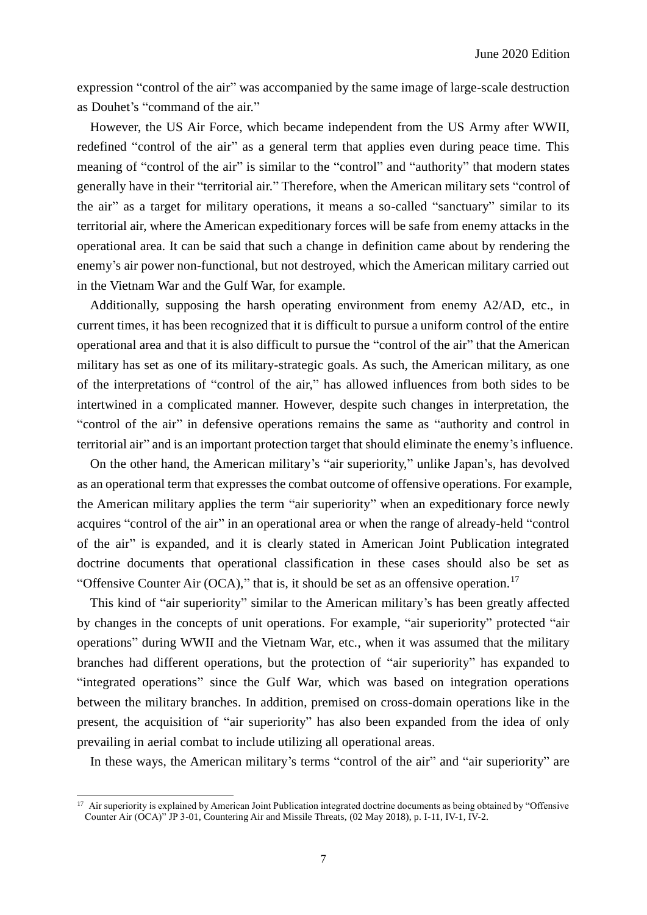expression "control of the air" was accompanied by the same image of large-scale destruction as Douhet's "command of the air."

However, the US Air Force, which became independent from the US Army after WWII, redefined "control of the air" as a general term that applies even during peace time. This meaning of "control of the air" is similar to the "control" and "authority" that modern states generally have in their "territorial air." Therefore, when the American military sets "control of the air" as a target for military operations, it means a so-called "sanctuary" similar to its territorial air, where the American expeditionary forces will be safe from enemy attacks in the operational area. It can be said that such a change in definition came about by rendering the enemy's air power non-functional, but not destroyed, which the American military carried out in the Vietnam War and the Gulf War, for example.

Additionally, supposing the harsh operating environment from enemy A2/AD, etc., in current times, it has been recognized that it is difficult to pursue a uniform control of the entire operational area and that it is also difficult to pursue the "control of the air" that the American military has set as one of its military-strategic goals. As such, the American military, as one of the interpretations of "control of the air," has allowed influences from both sides to be intertwined in a complicated manner. However, despite such changes in interpretation, the "control of the air" in defensive operations remains the same as "authority and control in territorial air" and is an important protection target that should eliminate the enemy's influence.

On the other hand, the American military's "air superiority," unlike Japan's, has devolved as an operational term that expresses the combat outcome of offensive operations. For example, the American military applies the term "air superiority" when an expeditionary force newly acquires "control of the air" in an operational area or when the range of already-held "control of the air" is expanded, and it is clearly stated in American Joint Publication integrated doctrine documents that operational classification in these cases should also be set as "Offensive Counter Air (OCA)," that is, it should be set as an offensive operation.<sup>17</sup>

This kind of "air superiority" similar to the American military's has been greatly affected by changes in the concepts of unit operations. For example, "air superiority" protected "air operations" during WWII and the Vietnam War, etc., when it was assumed that the military branches had different operations, but the protection of "air superiority" has expanded to "integrated operations" since the Gulf War, which was based on integration operations between the military branches. In addition, premised on cross-domain operations like in the present, the acquisition of "air superiority" has also been expanded from the idea of only prevailing in aerial combat to include utilizing all operational areas.

In these ways, the American military's terms "control of the air" and "air superiority" are

l

 $17$  Air superiority is explained by American Joint Publication integrated doctrine documents as being obtained by "Offensive" Counter Air (OCA)" JP 3-01, Countering Air and Missile Threats, (02 May 2018), p. I-11, IV-1, IV-2.